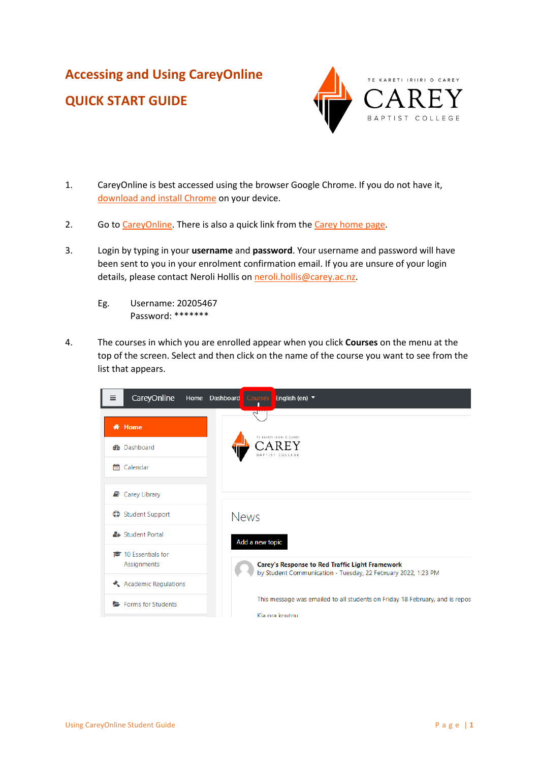# **Accessing and Using CareyOnline QUICK START GUIDE**



- 1. CareyOnline is best accessed using the browser Google Chrome. If you do not have it, [download and install Chrome](https://www.google.com/chrome/) on your device.
- 2. Go to [CareyOnline.](https://careyonline.elearning.ac.nz/) There is also a quick link from the [Carey home page.](https://www.carey.ac.nz/)
- 3. Login by typing in your **username** and **password**. Your username and password will have been sent to you in your enrolment confirmation email. If you are unsure of your login details, please contact Neroli Hollis on [neroli.hollis@carey.ac.nz.](mailto:neroli.hollis@carey.ac.nz)
	- Eg. Username: 20205467 Password: \*\*\*\*\*\*\*
- 4. The courses in which you are enrolled appear when you click **Courses** on the menu at the top of the screen. Select and then click on the name of the course you want to see from the list that appears.

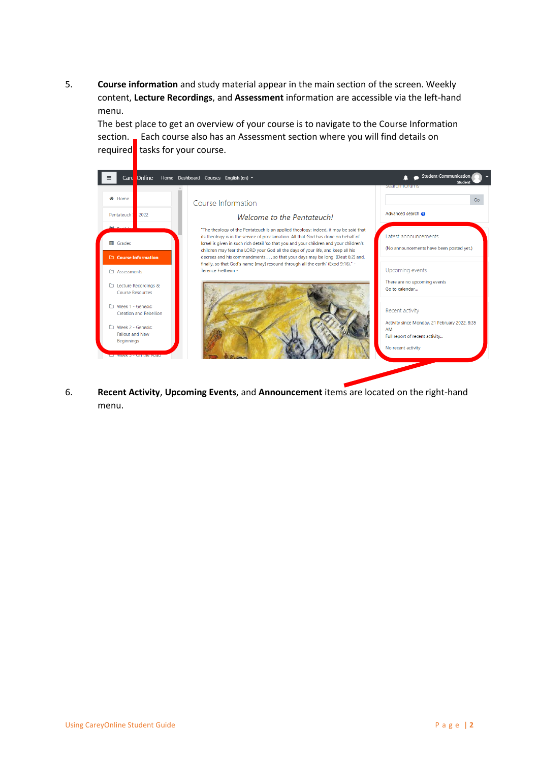5. **Course information** and study material appear in the main section of the screen. Weekly content, **Lecture Recordings**, and **Assessment** information are accessible via the left-hand menu.

The best place to get an overview of your course is to navigate to the Course Information section. Each course also has an Assessment section where you will find details on required tasks for your course.



6. **Recent Activity**, **Upcoming Events**, and **Announcement** items are located on the right-hand menu.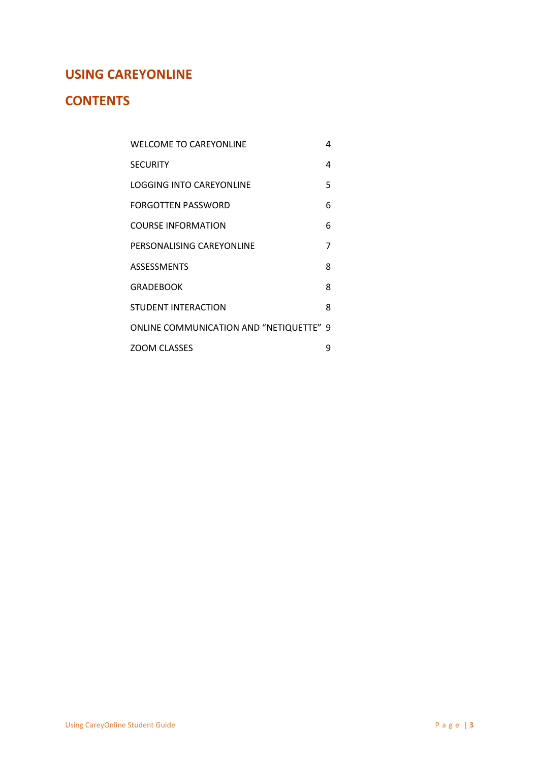# **USING CAREYONLINE**

# **CONTENTS**

| WELCOME TO CAREYONLINE                  | 4 |
|-----------------------------------------|---|
| <b>SECURITY</b>                         | 4 |
| LOGGING INTO CAREYONLINE                | 5 |
| FORGOTTEN PASSWORD                      | 6 |
| COURSE INFORMATION                      | 6 |
| PERSONALISING CAREYONLINE               | 7 |
| <b>ASSESSMENTS</b>                      | 8 |
| <b>GRADEBOOK</b>                        | 8 |
| STUDENT INTERACTION                     | 8 |
| ONLINE COMMUNICATION AND "NETIQUETTE" 9 |   |
| <b>ZOOM CLASSES</b>                     | g |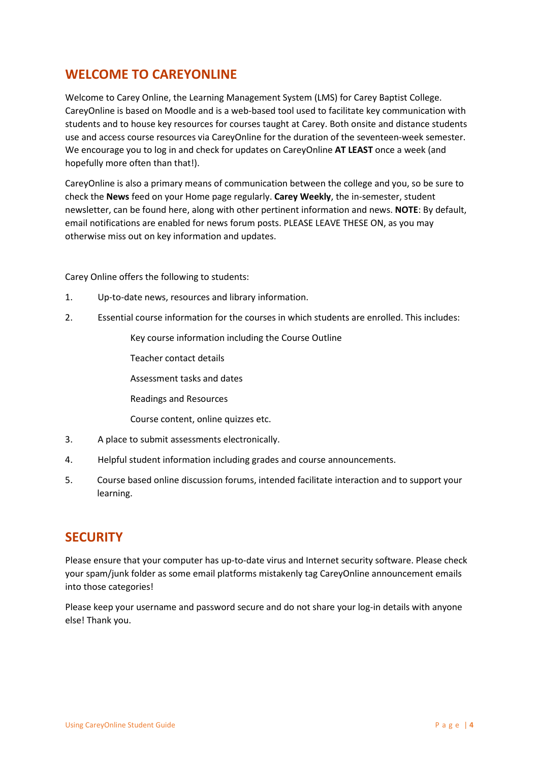## **WELCOME TO CAREYONLINE**

Welcome to Carey Online, the Learning Management System (LMS) for Carey Baptist College. CareyOnline is based on Moodle and is a web-based tool used to facilitate key communication with students and to house key resources for courses taught at Carey. Both onsite and distance students use and access course resources via CareyOnline for the duration of the seventeen-week semester. We encourage you to log in and check for updates on CareyOnline **AT LEAST** once a week (and hopefully more often than that!).

CareyOnline is also a primary means of communication between the college and you, so be sure to check the **News** feed on your Home page regularly. **Carey Weekly**, the in-semester, student newsletter, can be found here, along with other pertinent information and news. **NOTE**: By default, email notifications are enabled for news forum posts. PLEASE LEAVE THESE ON, as you may otherwise miss out on key information and updates.

Carey Online offers the following to students:

- 1. Up-to-date news, resources and library information.
- 2. Essential course information for the courses in which students are enrolled. This includes:

Key course information including the Course Outline

Teacher contact details

Assessment tasks and dates

Readings and Resources

Course content, online quizzes etc.

- 3. A place to submit assessments electronically.
- 4. Helpful student information including grades and course announcements.
- 5. Course based online discussion forums, intended facilitate interaction and to support your learning.

## **SECURITY**

Please ensure that your computer has up-to-date virus and Internet security software. Please check your spam/junk folder as some email platforms mistakenly tag CareyOnline announcement emails into those categories!

Please keep your username and password secure and do not share your log-in details with anyone else! Thank you.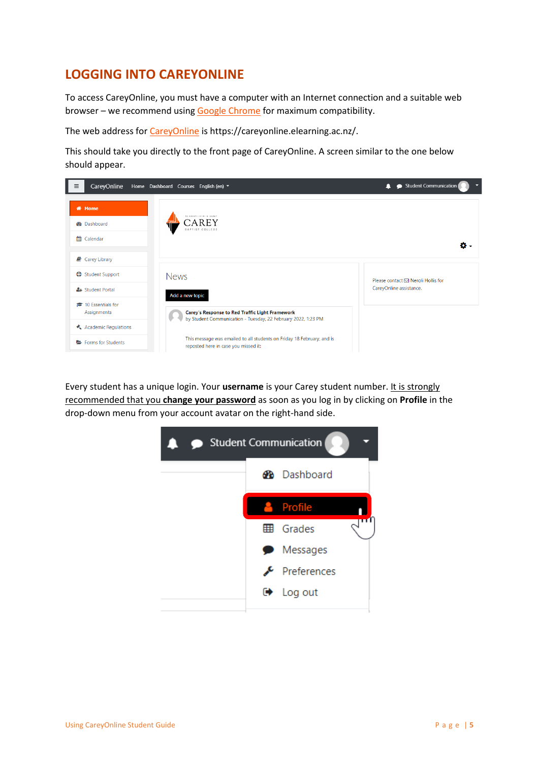# **LOGGING INTO CAREYONLINE**

To access CareyOnline, you must have a computer with an Internet connection and a suitable web browser – we recommend using [Google Chrome](https://www.google.com/chrome/) for maximum compatibility.

The web address fo[r CareyOnline](https://careyonline.elearning.ac.nz/) is https://careyonline.elearning.ac.nz/.

This should take you directly to the front page of CareyOnline. A screen similar to the one below should appear.



Every student has a unique login. Your **username** is your Carey student number. It is strongly recommended that you **change your password** as soon as you log in by clicking on **Profile** in the drop-down menu from your account avatar on the right-hand side.

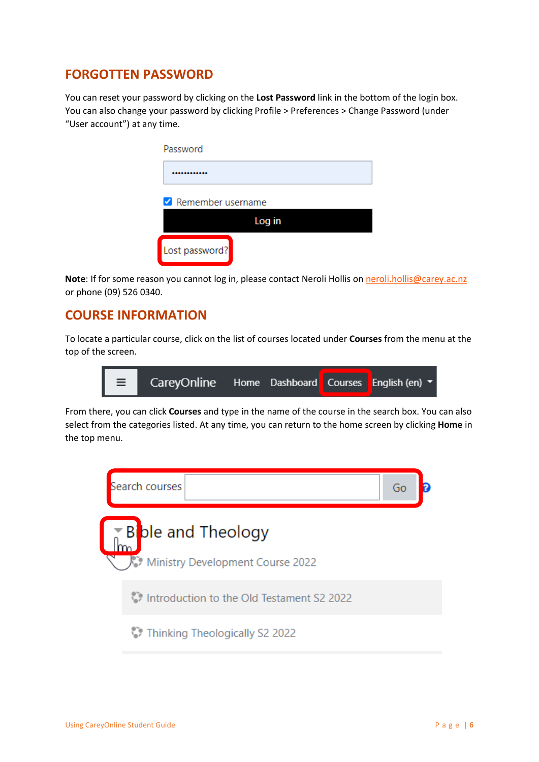# **FORGOTTEN PASSWORD**

You can reset your password by clicking on the **Lost Password** link in the bottom of the login box. You can also change your password by clicking Profile > Preferences > Change Password (under "User account") at any time.

| Password          |        |  |
|-------------------|--------|--|
|                   |        |  |
| Remember username |        |  |
|                   | Log in |  |
| Lost password?    |        |  |

**Note**: If for some reason you cannot log in, please contact Neroli Hollis on [neroli.hollis@carey.ac.nz](mailto:neroli.hollis@carey.ac.nz) or phone (09) 526 0340.

#### **COURSE INFORMATION**

To locate a particular course, click on the list of courses located under **Courses** from the menu at the top of the screen.



From there, you can click **Courses** and type in the name of the course in the search box. You can also select from the categories listed. At any time, you can return to the home screen by clicking **Home** in the top menu.

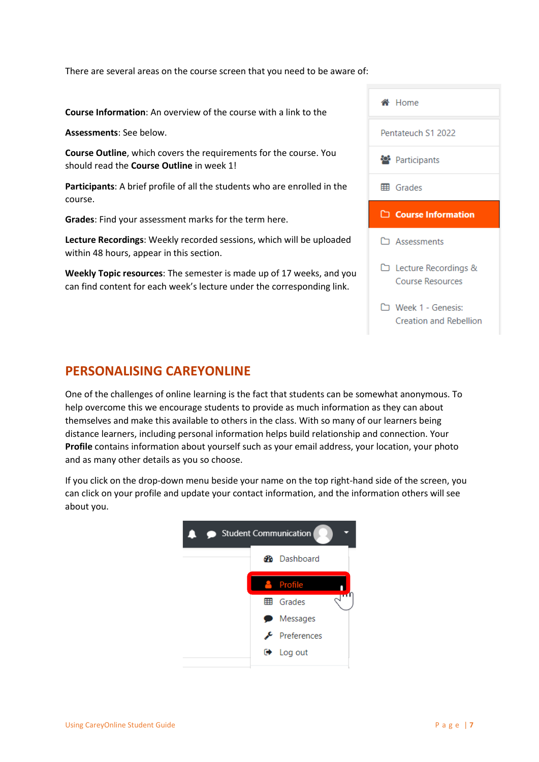There are several areas on the course screen that you need to be aware of:

**Course Information**: An overview of the course with a link to the

**Assessments**: See below.

**Course Outline**, which covers the requirements for the course. You should read the **Course Outline** in week 1!

**Participants**: A brief profile of all the students who are enrolled in the course.

**Grades**: Find your assessment marks for the term here.

**Lecture Recordings**: Weekly recorded sessions, which will be uploaded within 48 hours, appear in this section.

**Weekly Topic resources**: The semester is made up of 17 weeks, and you can find content for each week's lecture under the corresponding link.



#### **PERSONALISING CAREYONLINE**

One of the challenges of online learning is the fact that students can be somewhat anonymous. To help overcome this we encourage students to provide as much information as they can about themselves and make this available to others in the class. With so many of our learners being distance learners, including personal information helps build relationship and connection. Your **Profile** contains information about yourself such as your email address, your location, your photo and as many other details as you so choose.

If you click on the drop-down menu beside your name on the top right-hand side of the screen, you can click on your profile and update your contact information, and the information others will see about you.

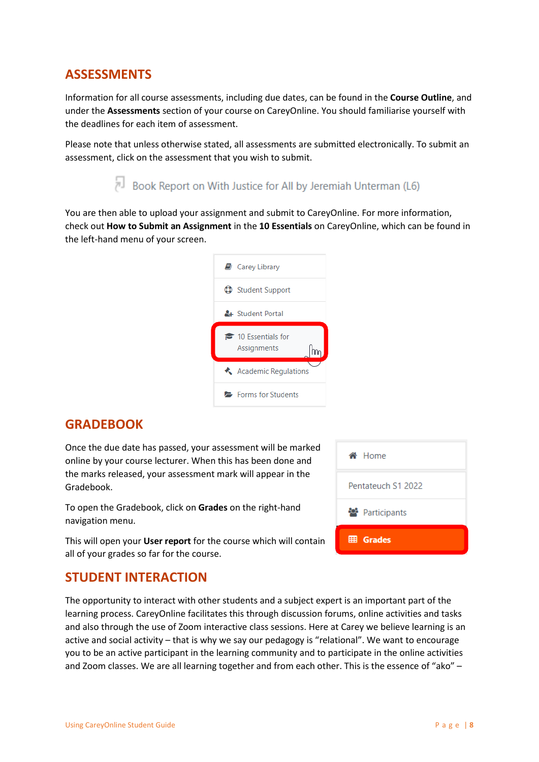## **ASSESSMENTS**

Information for all course assessments, including due dates, can be found in the **Course Outline**, and under the **Assessments** section of your course on CareyOnline. You should familiarise yourself with the deadlines for each item of assessment.

Please note that unless otherwise stated, all assessments are submitted electronically. To submit an assessment, click on the assessment that you wish to submit.

Book Report on With Justice for All by Jeremiah Unterman (L6)

You are then able to upload your assignment and submit to CareyOnline. For more information, check out **How to Submit an Assignment** in the **10 Essentials** on CareyOnline, which can be found in the left-hand menu of your screen.



## **GRADEBOOK**

Once the due date has passed, your assessment will be marked online by your course lecturer. When this has been done and the marks released, your assessment mark will appear in the Gradebook.

To open the Gradebook, click on **Grades** on the right-hand navigation menu.

This will open your **User report** for the course which will contain all of your grades so far for the course.

## **STUDENT INTERACTION**

The opportunity to interact with other students and a subject expert is an important part of the learning process. CareyOnline facilitates this through discussion forums, online activities and tasks and also through the use of Zoom interactive class sessions. Here at Carey we believe learning is an active and social activity – that is why we say our pedagogy is "relational". We want to encourage you to be an active participant in the learning community and to participate in the online activities and Zoom classes. We are all learning together and from each other. This is the essence of "ako" –

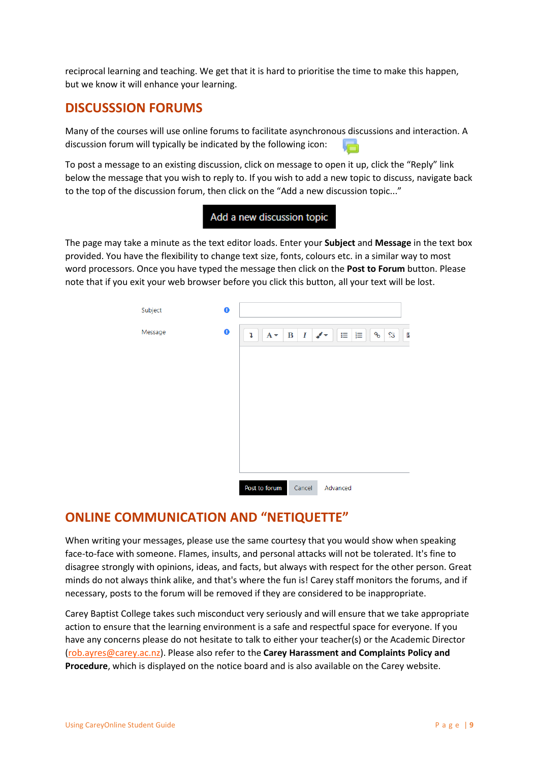reciprocal learning and teaching. We get that it is hard to prioritise the time to make this happen, but we know it will enhance your learning.

#### **DISCUSSSION FORUMS**

Many of the courses will use online forums to facilitate asynchronous discussions and interaction. A discussion forum will typically be indicated by the following icon:

To post a message to an existing discussion, click on message to open it up, click the "Reply" link below the message that you wish to reply to. If you wish to add a new topic to discuss, navigate back to the top of the discussion forum, then click on the "Add a new discussion topic..."



The page may take a minute as the text editor loads. Enter your **Subject** and **Message** in the text box provided. You have the flexibility to change text size, fonts, colours etc. in a similar way to most word processors. Once you have typed the message then click on the **Post to Forum** button. Please note that if you exit your web browser before you click this button, all your text will be lost.



## **ONLINE COMMUNICATION AND "NETIQUETTE"**

When writing your messages, please use the same courtesy that you would show when speaking face-to-face with someone. Flames, insults, and personal attacks will not be tolerated. It's fine to disagree strongly with opinions, ideas, and facts, but always with respect for the other person. Great minds do not always think alike, and that's where the fun is! Carey staff monitors the forums, and if necessary, posts to the forum will be removed if they are considered to be inappropriate.

Carey Baptist College takes such misconduct very seriously and will ensure that we take appropriate action to ensure that the learning environment is a safe and respectful space for everyone. If you have any concerns please do not hesitate to talk to either your teacher(s) or the Academic Director [\(rob.ayres@carey.ac.nz\)](mailto:rob.ayres@carey.ac.nz). Please also refer to the **Carey Harassment and Complaints Policy and Procedure**, which is displayed on the notice board and is also available on the Carey website.